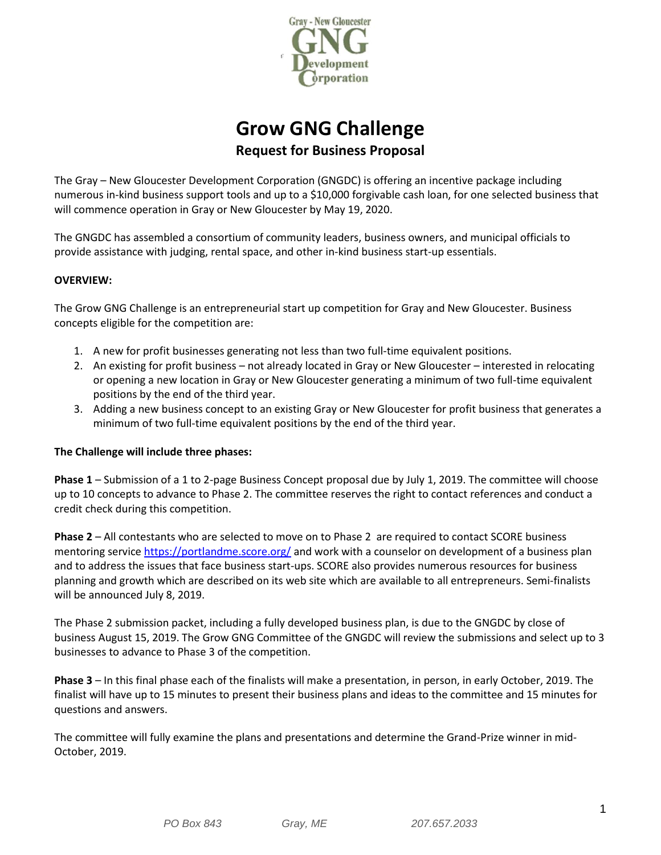

# **Grow GNG Challenge Request for Business Proposal**

The Gray – New Gloucester Development Corporation (GNGDC) is offering an incentive package including numerous in-kind business support tools and up to a \$10,000 forgivable cash loan, for one selected business that will commence operation in Gray or New Gloucester by May 19, 2020.

The GNGDC has assembled a consortium of community leaders, business owners, and municipal officials to provide assistance with judging, rental space, and other in-kind business start-up essentials.

# **OVERVIEW:**

The Grow GNG Challenge is an entrepreneurial start up competition for Gray and New Gloucester. Business concepts eligible for the competition are:

- 1. A new for profit businesses generating not less than two full-time equivalent positions.
- 2. An existing for profit business not already located in Gray or New Gloucester interested in relocating or opening a new location in Gray or New Gloucester generating a minimum of two full-time equivalent positions by the end of the third year.
- 3. Adding a new business concept to an existing Gray or New Gloucester for profit business that generates a minimum of two full-time equivalent positions by the end of the third year.

# **The Challenge will include three phases:**

**Phase 1** – Submission of a 1 to 2-page Business Concept proposal due by July 1, 2019. The committee will choose up to 10 concepts to advance to Phase 2. The committee reserves the right to contact references and conduct a credit check during this competition.

**Phase 2** – All contestants who are selected to move on to Phase 2 are required to contact SCORE business mentoring service<https://portlandme.score.org/> and work with a counselor on development of a business plan and to address the issues that face business start-ups. SCORE also provides numerous resources for business planning and growth which are described on its web site which are available to all entrepreneurs. Semi-finalists will be announced July 8, 2019.

The Phase 2 submission packet, including a fully developed business plan, is due to the GNGDC by close of business August 15, 2019. The Grow GNG Committee of the GNGDC will review the submissions and select up to 3 businesses to advance to Phase 3 of the competition.

**Phase 3** – In this final phase each of the finalists will make a presentation, in person, in early October, 2019. The finalist will have up to 15 minutes to present their business plans and ideas to the committee and 15 minutes for questions and answers.

The committee will fully examine the plans and presentations and determine the Grand-Prize winner in mid-October, 2019.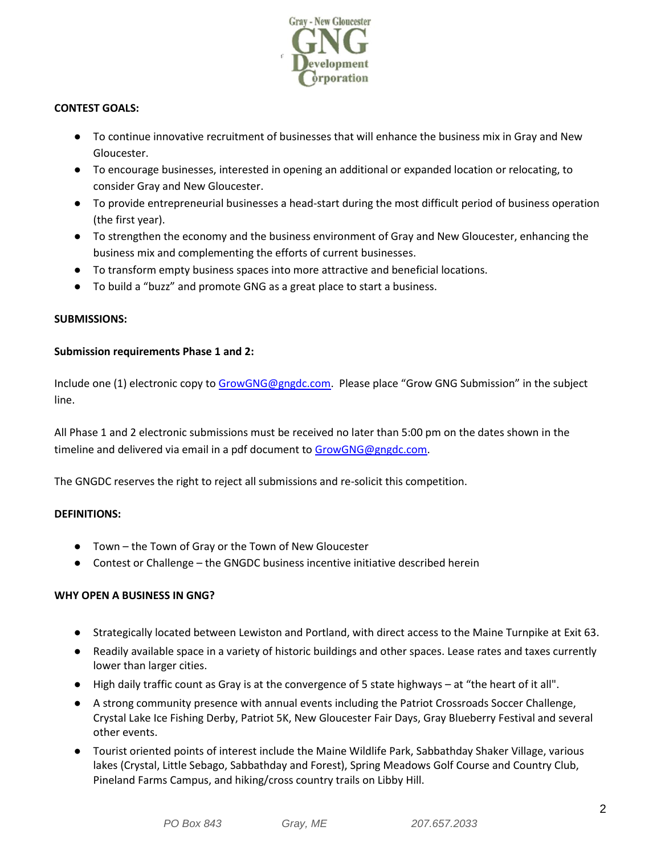

# **CONTEST GOALS:**

- To continue innovative recruitment of businesses that will enhance the business mix in Gray and New Gloucester.
- To encourage businesses, interested in opening an additional or expanded location or relocating, to consider Gray and New Gloucester.
- To provide entrepreneurial businesses a head-start during the most difficult period of business operation (the first year).
- To strengthen the economy and the business environment of Gray and New Gloucester, enhancing the business mix and complementing the efforts of current businesses.
- To transform empty business spaces into more attractive and beneficial locations.
- To build a "buzz" and promote GNG as a great place to start a business.

## **SUBMISSIONS:**

## **Submission requirements Phase 1 and 2:**

Include one (1) electronic copy t[o GrowGNG@gngdc.com](mailto:GrowGNG@gngdc.com). Please place "Grow GNG Submission" in the subject line.

All Phase 1 and 2 electronic submissions must be received no later than 5:00 pm on the dates shown in the timeline and delivered via email in a pdf document t[o GrowGNG@gngdc.com.](mailto:GrowGNG@gngdc.com)

The GNGDC reserves the right to reject all submissions and re-solicit this competition.

# **DEFINITIONS:**

- Town the Town of Gray or the Town of New Gloucester
- Contest or Challenge the GNGDC business incentive initiative described herein

# **WHY OPEN A BUSINESS IN GNG?**

- Strategically located between Lewiston and Portland, with direct access to the Maine Turnpike at Exit 63.
- Readily available space in a variety of historic buildings and other spaces. Lease rates and taxes currently lower than larger cities.
- High daily traffic count as Gray is at the convergence of 5 state highways at "the heart of it all".
- A strong community presence with annual events including the Patriot Crossroads Soccer Challenge, Crystal Lake Ice Fishing Derby, Patriot 5K, New Gloucester Fair Days, Gray Blueberry Festival and several other events.
- Tourist oriented points of interest include the Maine Wildlife Park, Sabbathday Shaker Village, various lakes (Crystal, Little Sebago, Sabbathday and Forest), Spring Meadows Golf Course and Country Club, Pineland Farms Campus, and hiking/cross country trails on Libby Hill.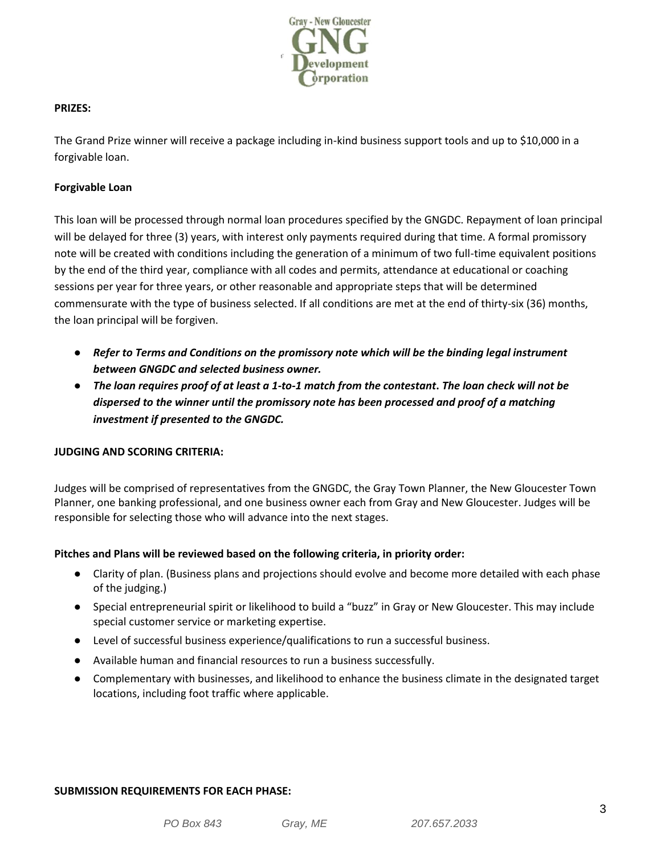

## **PRIZES:**

The Grand Prize winner will receive a package including in-kind business support tools and up to \$10,000 in a forgivable loan.

# **Forgivable Loan**

This loan will be processed through normal loan procedures specified by the GNGDC. Repayment of loan principal will be delayed for three (3) years, with interest only payments required during that time. A formal promissory note will be created with conditions including the generation of a minimum of two full-time equivalent positions by the end of the third year, compliance with all codes and permits, attendance at educational or coaching sessions per year for three years, or other reasonable and appropriate steps that will be determined commensurate with the type of business selected. If all conditions are met at the end of thirty-six (36) months, the loan principal will be forgiven.

- *Refer to Terms and Conditions on the promissory note which will be the binding legal instrument between GNGDC and selected business owner.*
- *The loan requires proof of at least a 1-to-1 match from the contestant***.** *The loan check will not be dispersed to the winner until the promissory note has been processed and proof of a matching investment if presented to the GNGDC.*

#### **JUDGING AND SCORING CRITERIA:**

Judges will be comprised of representatives from the GNGDC, the Gray Town Planner, the New Gloucester Town Planner, one banking professional, and one business owner each from Gray and New Gloucester. Judges will be responsible for selecting those who will advance into the next stages.

# **Pitches and Plans will be reviewed based on the following criteria, in priority order:**

- Clarity of plan. (Business plans and projections should evolve and become more detailed with each phase of the judging.)
- Special entrepreneurial spirit or likelihood to build a "buzz" in Gray or New Gloucester. This may include special customer service or marketing expertise.
- Level of successful business experience/qualifications to run a successful business.
- Available human and financial resources to run a business successfully.
- Complementary with businesses, and likelihood to enhance the business climate in the designated target locations, including foot traffic where applicable.

#### **SUBMISSION REQUIREMENTS FOR EACH PHASE:**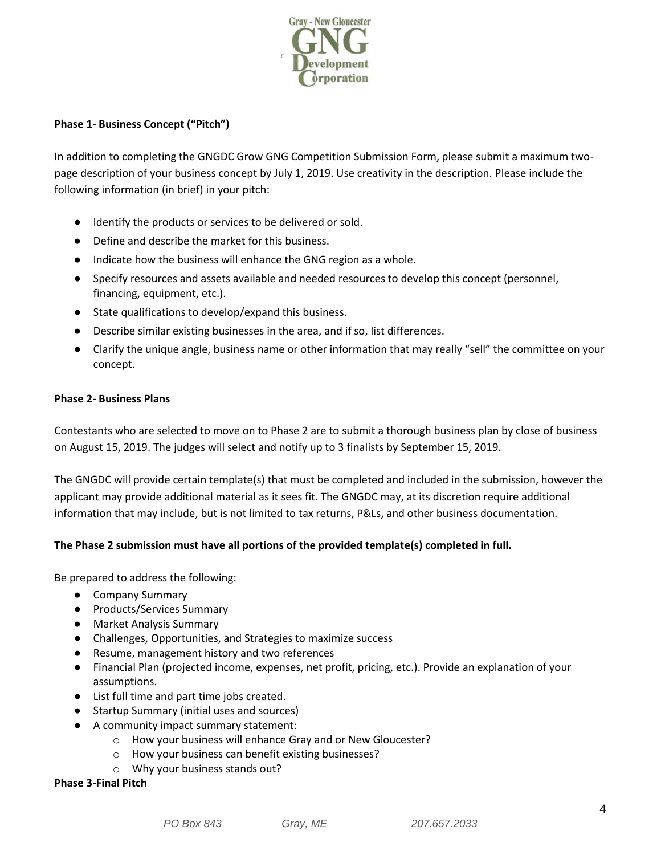

# **Phase 1- Business Concept ("Pitch")**

In addition to completing the GNGDC Grow GNG Competition Submission Form, please submit a maximum twopage description of your business concept by July 1, 2019. Use creativity in the description. Please include the following information (in brief) in your pitch:

- Identify the products or services to be delivered or sold.
- Define and describe the market for this business.
- Indicate how the business will enhance the GNG region as a whole.
- Specify resources and assets available and needed resources to develop this concept (personnel, financing, equipment, etc.).
- State qualifications to develop/expand this business.
- Describe similar existing businesses in the area, and if so, list differences.
- Clarify the unique angle, business name or other information that may really "sell" the committee on your concept.

## **Phase 2- Business Plans**

Contestants who are selected to move on to Phase 2 are to submit a thorough business plan by close of business on August 15, 2019. The judges will select and notify up to 3 finalists by September 15, 2019.

The GNGDC will provide certain template(s) that must be completed and included in the submission, however the applicant may provide additional material as it sees fit. The GNGDC may, at its discretion require additional information that may include, but is not limited to tax returns, P&Ls, and other business documentation.

# **The Phase 2 submission must have all portions of the provided template(s) completed in full.**

Be prepared to address the following:

- Company Summary
- Products/Services Summary
- Market Analysis Summary
- Challenges, Opportunities, and Strategies to maximize success
- Resume, management history and two references
- Financial Plan (projected income, expenses, net profit, pricing, etc.). Provide an explanation of your assumptions.
- List full time and part time jobs created.
- Startup Summary (initial uses and sources)
- A community impact summary statement:
	- o How your business will enhance Gray and or New Gloucester?
	- o How your business can benefit existing businesses?
	- o Why your business stands out?

**Phase 3-Final Pitch**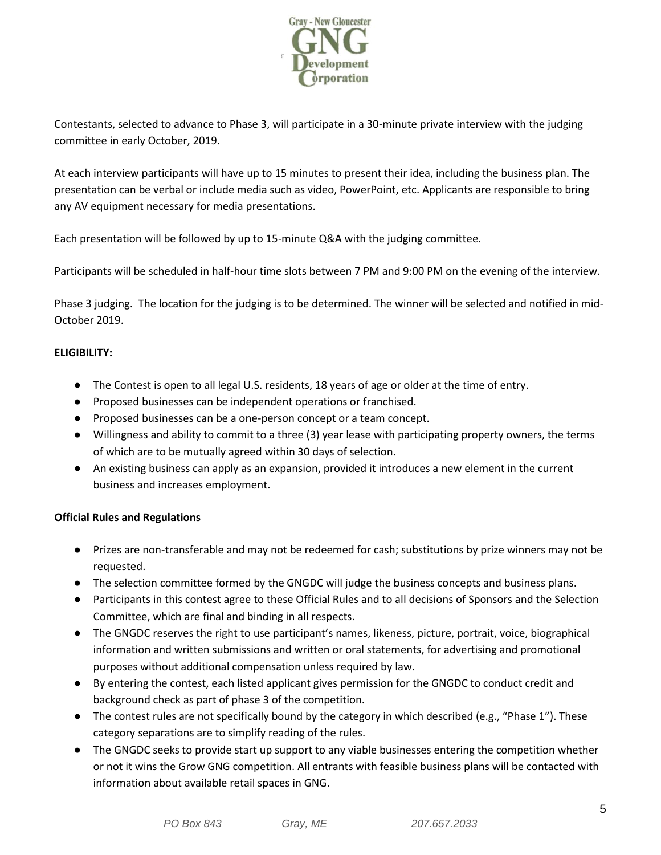

Contestants, selected to advance to Phase 3, will participate in a 30-minute private interview with the judging committee in early October, 2019.

At each interview participants will have up to 15 minutes to present their idea, including the business plan. The presentation can be verbal or include media such as video, PowerPoint, etc. Applicants are responsible to bring any AV equipment necessary for media presentations.

Each presentation will be followed by up to 15-minute Q&A with the judging committee.

Participants will be scheduled in half-hour time slots between 7 PM and 9:00 PM on the evening of the interview.

Phase 3 judging. The location for the judging is to be determined. The winner will be selected and notified in mid-October 2019.

# **ELIGIBILITY:**

- The Contest is open to all legal U.S. residents, 18 years of age or older at the time of entry.
- Proposed businesses can be independent operations or franchised.
- Proposed businesses can be a one-person concept or a team concept.
- Willingness and ability to commit to a three (3) year lease with participating property owners, the terms of which are to be mutually agreed within 30 days of selection.
- An existing business can apply as an expansion, provided it introduces a new element in the current business and increases employment.

# **Official Rules and Regulations**

- Prizes are non-transferable and may not be redeemed for cash; substitutions by prize winners may not be requested.
- The selection committee formed by the GNGDC will judge the business concepts and business plans.
- Participants in this contest agree to these Official Rules and to all decisions of Sponsors and the Selection Committee, which are final and binding in all respects.
- The GNGDC reserves the right to use participant's names, likeness, picture, portrait, voice, biographical information and written submissions and written or oral statements, for advertising and promotional purposes without additional compensation unless required by law.
- By entering the contest, each listed applicant gives permission for the GNGDC to conduct credit and background check as part of phase 3 of the competition.
- The contest rules are not specifically bound by the category in which described (e.g., "Phase 1"). These category separations are to simplify reading of the rules.
- The GNGDC seeks to provide start up support to any viable businesses entering the competition whether or not it wins the Grow GNG competition. All entrants with feasible business plans will be contacted with information about available retail spaces in GNG.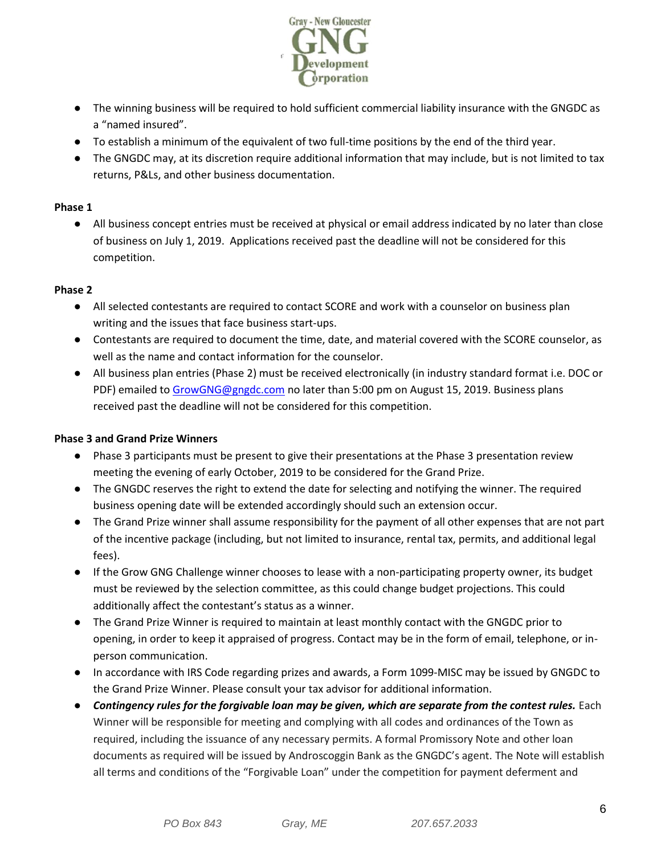

- The winning business will be required to hold sufficient commercial liability insurance with the GNGDC as a "named insured".
- To establish a minimum of the equivalent of two full-time positions by the end of the third year.
- The GNGDC may, at its discretion require additional information that may include, but is not limited to tax returns, P&Ls, and other business documentation.

# **Phase 1**

● All business concept entries must be received at physical or email address indicated by no later than close of business on July 1, 2019. Applications received past the deadline will not be considered for this competition.

# **Phase 2**

- All selected contestants are required to contact SCORE and work with a counselor on business plan writing and the issues that face business start-ups.
- Contestants are required to document the time, date, and material covered with the SCORE counselor, as well as the name and contact information for the counselor.
- All business plan entries (Phase 2) must be received electronically (in industry standard format i.e. DOC or PDF) emailed to [GrowGNG@gngdc.com](mailto:GrowGNG@gngdc.com) no later than 5:00 pm on August 15, 2019. Business plans received past the deadline will not be considered for this competition.

# **Phase 3 and Grand Prize Winners**

- Phase 3 participants must be present to give their presentations at the Phase 3 presentation review meeting the evening of early October, 2019 to be considered for the Grand Prize.
- The GNGDC reserves the right to extend the date for selecting and notifying the winner. The required business opening date will be extended accordingly should such an extension occur.
- The Grand Prize winner shall assume responsibility for the payment of all other expenses that are not part of the incentive package (including, but not limited to insurance, rental tax, permits, and additional legal fees).
- If the Grow GNG Challenge winner chooses to lease with a non-participating property owner, its budget must be reviewed by the selection committee, as this could change budget projections. This could additionally affect the contestant's status as a winner.
- The Grand Prize Winner is required to maintain at least monthly contact with the GNGDC prior to opening, in order to keep it appraised of progress. Contact may be in the form of email, telephone, or inperson communication.
- In accordance with IRS Code regarding prizes and awards, a Form 1099-MISC may be issued by GNGDC to the Grand Prize Winner. Please consult your tax advisor for additional information.
- *Contingency rules for the forgivable loan may be given, which are separate from the contest rules.* Each Winner will be responsible for meeting and complying with all codes and ordinances of the Town as required, including the issuance of any necessary permits. A formal Promissory Note and other loan documents as required will be issued by Androscoggin Bank as the GNGDC's agent. The Note will establish all terms and conditions of the "Forgivable Loan" under the competition for payment deferment and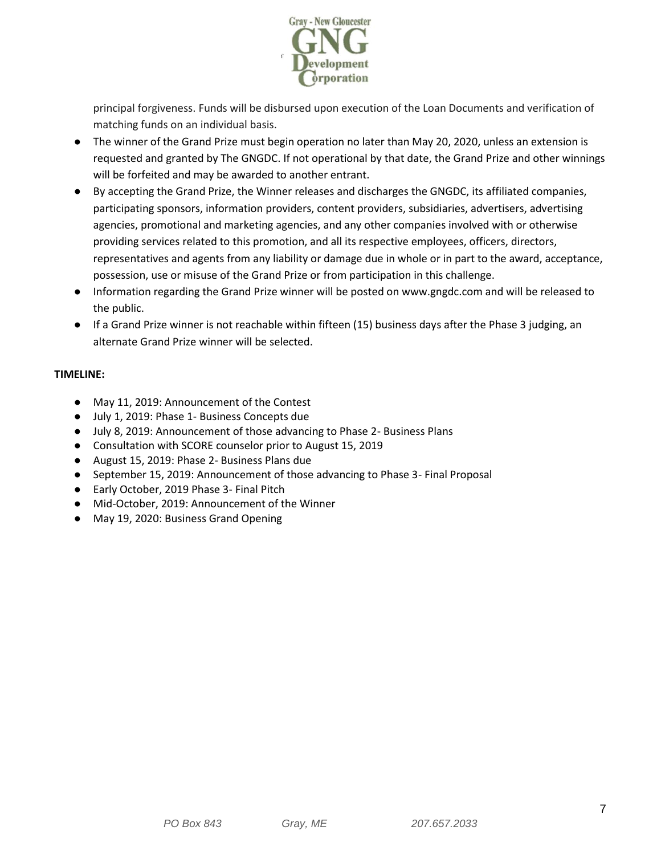

principal forgiveness. Funds will be disbursed upon execution of the Loan Documents and verification of matching funds on an individual basis.

- The winner of the Grand Prize must begin operation no later than May 20, 2020, unless an extension is requested and granted by The GNGDC. If not operational by that date, the Grand Prize and other winnings will be forfeited and may be awarded to another entrant.
- By accepting the Grand Prize, the Winner releases and discharges the GNGDC, its affiliated companies, participating sponsors, information providers, content providers, subsidiaries, advertisers, advertising agencies, promotional and marketing agencies, and any other companies involved with or otherwise providing services related to this promotion, and all its respective employees, officers, directors, representatives and agents from any liability or damage due in whole or in part to the award, acceptance, possession, use or misuse of the Grand Prize or from participation in this challenge.
- Information regarding the Grand Prize winner will be posted on www.gngdc.com and will be released to the public.
- If a Grand Prize winner is not reachable within fifteen (15) business days after the Phase 3 judging, an alternate Grand Prize winner will be selected.

# **TIMELINE:**

- May 11, 2019: Announcement of the Contest
- July 1, 2019: Phase 1- Business Concepts due
- July 8, 2019: Announcement of those advancing to Phase 2- Business Plans
- Consultation with SCORE counselor prior to August 15, 2019
- August 15, 2019: Phase 2- Business Plans due
- September 15, 2019: Announcement of those advancing to Phase 3- Final Proposal
- Early October, 2019 Phase 3- Final Pitch
- Mid-October, 2019: Announcement of the Winner
- May 19, 2020: Business Grand Opening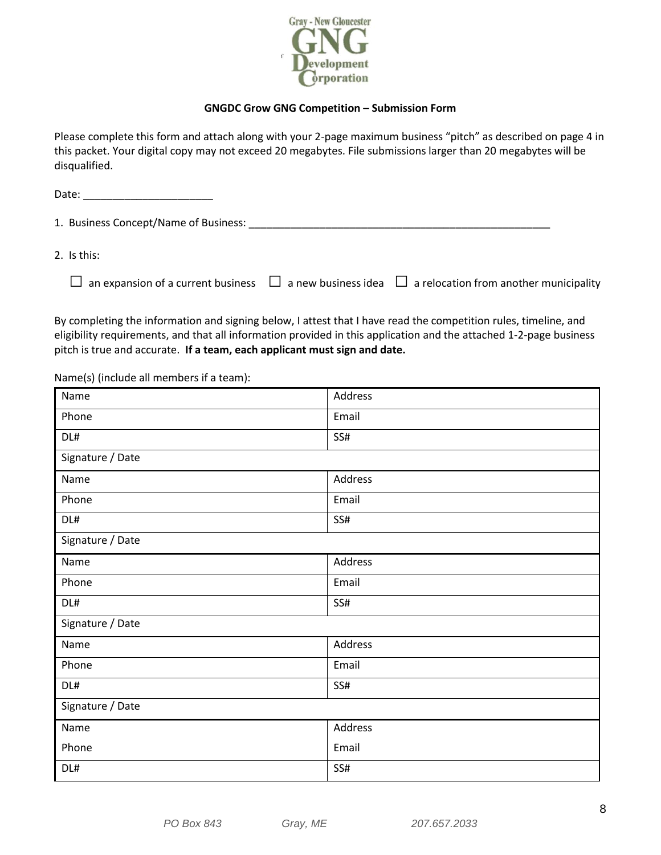

# **GNGDC Grow GNG Competition – Submission Form**

Please complete this form and attach along with your 2-page maximum business "pitch" as described on page 4 in this packet. Your digital copy may not exceed 20 megabytes. File submissions larger than 20 megabytes will be disqualified.

Date: \_\_\_\_\_\_\_\_\_\_\_\_\_\_\_\_\_\_\_\_\_\_ 1. Business Concept/Name of Business: \_\_\_\_\_\_\_\_\_\_\_\_\_\_\_\_\_\_\_\_\_\_\_\_\_\_\_\_\_\_\_\_\_\_\_\_\_\_\_\_\_\_\_\_\_\_\_\_\_\_\_

2. Is this:

|  | $\Box$ an expansion of a current business $\Box$ a new business idea $\Box$ a relocation from another municipality |
|--|--------------------------------------------------------------------------------------------------------------------|
|  |                                                                                                                    |

By completing the information and signing below, I attest that I have read the competition rules, timeline, and eligibility requirements, and that all information provided in this application and the attached 1-2-page business pitch is true and accurate. **If a team, each applicant must sign and date.**

Name(s) (include all members if a team):

| Name             | Address |  |
|------------------|---------|--|
| Phone            | Email   |  |
| DL#              | SS#     |  |
| Signature / Date |         |  |
| Name             | Address |  |
| Phone            | Email   |  |
| DL#              | SS#     |  |
| Signature / Date |         |  |
| Name             | Address |  |
| Phone            | Email   |  |
| DL#              | SS#     |  |
| Signature / Date |         |  |
| Name             | Address |  |
| Phone            | Email   |  |
| DL#              | SS#     |  |
| Signature / Date |         |  |
| Name             | Address |  |
| Phone            | Email   |  |
| DL#              | SS#     |  |